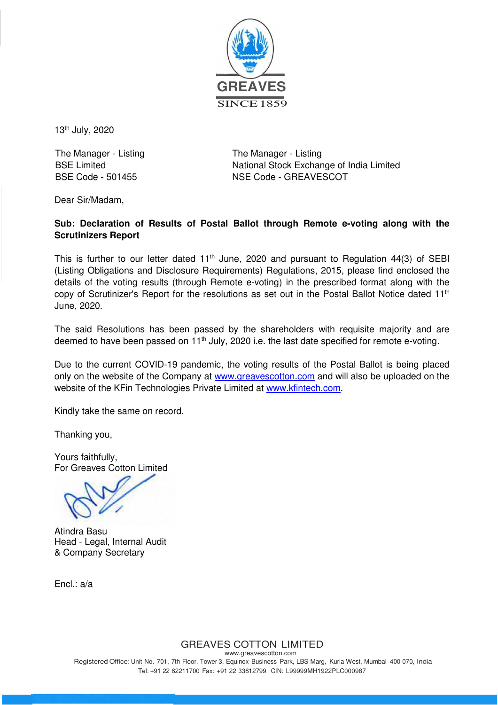

13th July, 2020

The Manager - Listing The Manager - Listing

BSE Limited **National Stock Exchange of India Limited** BSE Code - 501455 NSE Code - GREAVESCOT

Dear Sir/Madam,

# **Sub: Declaration of Results of Postal Ballot through Remote e-voting along with the Scrutinizers Report**

This is further to our letter dated  $11<sup>th</sup>$  June, 2020 and pursuant to Regulation 44(3) of SEBI (Listing Obligations and Disclosure Requirements) Regulations, 2015, please find enclosed the details of the voting results (through Remote e-voting) in the prescribed format along with the copy of Scrutinizer's Report for the resolutions as set out in the Postal Ballot Notice dated 11<sup>th</sup> June, 2020.

The said Resolutions has been passed by the shareholders with requisite majority and are deemed to have been passed on 11<sup>th</sup> July, 2020 i.e. the last date specified for remote e-voting.

Due to the current COVID-19 pandemic, the voting results of the Postal Ballot is being placed only on the website of the Company at www.greavescotton.com and will also be uploaded on the website of the KFin Technologies Private Limited at www.kfintech.com.

Kindly take the same on record.

Thanking you,

Yours faithfully, For Greaves Cotton Limited

Atindra Basu Head - Legal, Internal Audit & Company Secretary

 $Fncl : a/a$ 

GREAVES COTTON LIMITED

www.greavescotton.com Registered Office: Unit No. 701, 7th Floor, Tower 3, Equinox Business Park, LBS Marg, Kurla West, Mumbai 400 070, India Tel: +91 22 62211700 Fax: +91 22 33812799 CIN: L99999MH1922PLC000987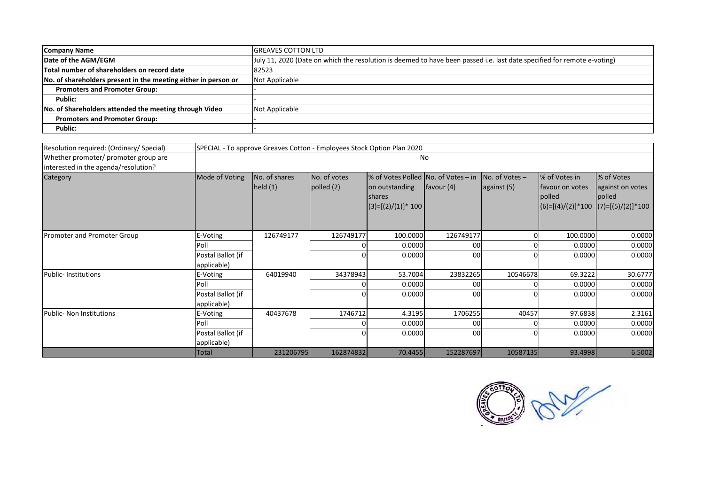| Company Name                                                   | <b>IGREAVES COTTON LTD</b>                                                                                              |
|----------------------------------------------------------------|-------------------------------------------------------------------------------------------------------------------------|
| Date of the AGM/EGM                                            | July 11, 2020 (Date on which the resolution is deemed to have been passed i.e. last date specified for remote e-voting) |
| Total number of shareholders on record date                    | 82523                                                                                                                   |
| No. of shareholders present in the meeting either in person or | Not Applicable                                                                                                          |
| <b>Promoters and Promoter Group:</b>                           |                                                                                                                         |
| Public:                                                        |                                                                                                                         |
| No. of Shareholders attended the meeting through Video         | Not Applicable                                                                                                          |
| <b>Promoters and Promoter Group:</b>                           |                                                                                                                         |
| Public:                                                        |                                                                                                                         |

| Resolution required: (Ordinary/ Special) |                                  | SPECIAL - To approve Greaves Cotton - Employees Stock Option Plan 2020 |                              |                                                                                                 |              |                                 |                                                                           |                                                                 |
|------------------------------------------|----------------------------------|------------------------------------------------------------------------|------------------------------|-------------------------------------------------------------------------------------------------|--------------|---------------------------------|---------------------------------------------------------------------------|-----------------------------------------------------------------|
| Whether promoter/ promoter group are     |                                  | No                                                                     |                              |                                                                                                 |              |                                 |                                                                           |                                                                 |
| interested in the agenda/resolution?     |                                  |                                                                        |                              |                                                                                                 |              |                                 |                                                                           |                                                                 |
| Category                                 | Mode of Voting                   | No. of shares<br>held $(1)$                                            | No. of votes<br>polled $(2)$ | % of Votes Polled No. of Votes – in<br>on outstanding<br><b>shares</b><br>$(3)=[(2)/(1)]$ * 100 | favour $(4)$ | $No. of Votes -$<br>against (5) | % of Votes in<br>Ifavour on votes<br><b>polled</b><br>$(6)=[(4)/(2)]*100$ | % of Votes<br>against on votes<br>polled<br>$(7)=[(5)/(2)]*100$ |
|                                          |                                  |                                                                        |                              |                                                                                                 |              |                                 |                                                                           |                                                                 |
| Promoter and Promoter Group              | E-Voting                         | 126749177                                                              | 126749177                    | 100.0000                                                                                        | 126749177    | 01                              | 100.0000                                                                  | 0.0000                                                          |
|                                          | Poll                             |                                                                        |                              | 0.0000                                                                                          | 00           |                                 | 0.0000                                                                    | 0.0000                                                          |
|                                          | Postal Ballot (if                |                                                                        |                              | 0.0000                                                                                          | 00           |                                 | 0.0000                                                                    | 0.0000                                                          |
|                                          | applicable)                      |                                                                        |                              |                                                                                                 |              |                                 |                                                                           |                                                                 |
| Public-Institutions                      | E-Voting                         | 64019940                                                               | 34378943                     | 53.7004                                                                                         | 23832265     | 10546678                        | 69.3222                                                                   | 30.6777                                                         |
|                                          | Poll                             |                                                                        |                              | 0.0000                                                                                          | 00           |                                 | 0.0000                                                                    | 0.0000                                                          |
|                                          | Postal Ballot (if<br>applicable) |                                                                        |                              | 0.0000                                                                                          | 00           |                                 | 0.0000                                                                    | 0.0000                                                          |
| Public- Non Institutions                 | E-Voting                         | 40437678                                                               | 1746712                      | 4.3195                                                                                          | 1706255      | 40457                           | 97.6838                                                                   | 2.3161                                                          |
|                                          | Poll                             |                                                                        |                              | 0.0000                                                                                          | 00           |                                 | 0.0000                                                                    | 0.0000                                                          |
|                                          | Postal Ballot (if<br>applicable) |                                                                        |                              | 0.0000                                                                                          | 00           |                                 | 0.0000                                                                    | 0.0000                                                          |
|                                          | Total                            | 231206795                                                              | 162874832                    | 70.4455                                                                                         | 152287697    | 10587135                        | 93.4998                                                                   | 6.5002                                                          |

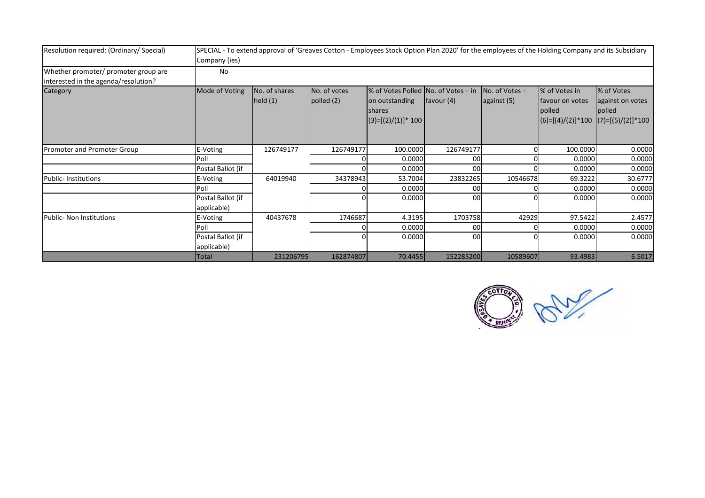| Resolution required: (Ordinary/Special)                                      | SPECIAL - To extend approval of 'Greaves Cotton - Employees Stock Option Plan 2020' for the employees of the Holding Company and its Subsidiary<br>Company (ies) |                          |                            |                                                                                            |            |                                 |                                            |                                                                                     |
|------------------------------------------------------------------------------|------------------------------------------------------------------------------------------------------------------------------------------------------------------|--------------------------|----------------------------|--------------------------------------------------------------------------------------------|------------|---------------------------------|--------------------------------------------|-------------------------------------------------------------------------------------|
| Whether promoter/ promoter group are<br>interested in the agenda/resolution? | No                                                                                                                                                               |                          |                            |                                                                                            |            |                                 |                                            |                                                                                     |
| Category                                                                     | Mode of Voting                                                                                                                                                   | No. of shares<br>held(1) | No. of votes<br>polled (2) | % of Votes Polled No. of Votes – in<br>on outstanding<br>shares<br>$(3)=[(2)/(1)]^{*}$ 100 | favour (4) | $No. of Votes -$<br>against (5) | % of Votes in<br>favour on votes<br>polled | % of Votes<br>against on votes<br>polled<br>$ (6)=[(4)/(2)]*100  (7)=[(5)/(2)]*100$ |
| <b>Promoter and Promoter Group</b>                                           | E-Voting                                                                                                                                                         | 126749177                | 126749177                  | 100.0000                                                                                   | 126749177  |                                 | 100.0000                                   | 0.0000                                                                              |
|                                                                              | Poll                                                                                                                                                             |                          |                            | 0.0000                                                                                     | 00         |                                 | 0.0000                                     | 0.0000                                                                              |
|                                                                              | Postal Ballot (if                                                                                                                                                |                          |                            | 0.0000                                                                                     | 00         |                                 | 0.0000                                     | 0.0000                                                                              |
| <b>Public-Institutions</b>                                                   | E-Voting                                                                                                                                                         | 64019940                 | 34378943                   | 53.7004                                                                                    | 23832265   | 10546678                        | 69.3222                                    | 30.6777                                                                             |
|                                                                              | Poll                                                                                                                                                             |                          |                            | 0.0000                                                                                     | 00         |                                 | 0.0000                                     | 0.0000                                                                              |
|                                                                              | Postal Ballot (if<br>applicable)                                                                                                                                 |                          |                            | 0.0000                                                                                     | 00         |                                 | 0.0000                                     | 0.0000                                                                              |
| Public- Non Institutions                                                     | E-Voting                                                                                                                                                         | 40437678                 | 1746687                    | 4.3195                                                                                     | 1703758    | 42929                           | 97.5422                                    | 2.4577                                                                              |
|                                                                              | Poll                                                                                                                                                             |                          |                            | 0.0000                                                                                     | 00         |                                 | 0.0000                                     | 0.0000                                                                              |
|                                                                              | Postal Ballot (if<br>applicable)                                                                                                                                 |                          |                            | 0.0000                                                                                     | 00         |                                 | 0.0000                                     | 0.0000                                                                              |
|                                                                              | Total                                                                                                                                                            | 231206795                | 162874807                  | 70.4455                                                                                    | 152285200  | 10589607                        | 93.4983                                    | 6.5017                                                                              |

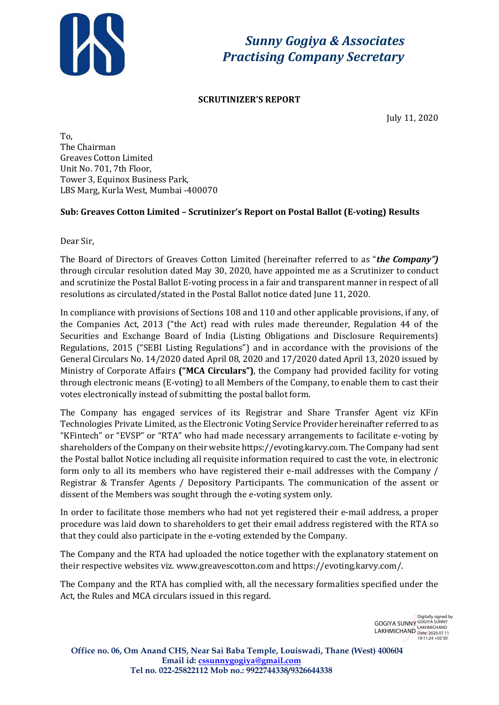

*Sunny Gogiya & Associates Practising Company Secretary*

# **SCRUTINIZER'S REPORT**

July 11, 2020

To, The Chairman Greaves Cotton Limited Unit No. 701, 7th Floor, Tower 3, Equinox Business Park, LBS Marg, Kurla West, Mumbai -400070

# **Sub: Greaves Cotton Limited – Scrutinizer's Report on Postal Ballot (E-voting) Results**

Dear Sir,

The Board of Directors of Greaves Cotton Limited (hereinafter referred to as "*the Company")*  through circular resolution dated May 30, 2020, have appointed me as a Scrutinizer to conduct and scrutinize the Postal Ballot E-voting process in a fair and transparent manner in respect of all resolutions as circulated/stated in the Postal Ballot notice dated June 11, 2020.

In compliance with provisions of Sections 108 and 110 and other applicable provisions, if any, of the Companies Act, 2013 ("the Act) read with rules made thereunder, Regulation 44 of the Securities and Exchange Board of India (Listing Obligations and Disclosure Requirements) Regulations, 2015 ("SEBI Listing Regulations") and in accordance with the provisions of the General Circulars No. 14/2020 dated April 08, 2020 and 17/2020 dated April 13, 2020 issued by Ministry of Corporate Affairs **("MCA Circulars")**, the Company had provided facility for voting through electronic means (E-voting) to all Members of the Company, to enable them to cast their votes electronically instead of submitting the postal ballot form.

The Company has engaged services of its Registrar and Share Transfer Agent viz KFin Technologies Private Limited, as the Electronic Voting Service Provider hereinafter referred to as "KFintech" or "EVSP" or "RTA" who had made necessary arrangements to facilitate e-voting by shareholders of the Company on their websit[e https://evoting.karvy.com.](https://evoting.karvy.com/) The Company had sent the Postal ballot Notice including all requisite information required to cast the vote, in electronic form only to all its members who have registered their e-mail addresses with the Company / Registrar & Transfer Agents / Depository Participants. The communication of the assent or dissent of the Members was sought through the e-voting system only.

In order to facilitate those members who had not yet registered their e-mail address, a proper procedure was laid down to shareholders to get their email address registered with the RTA so that they could also participate in the e-voting extended by the Company.

The Company and the RTA had uploaded the notice together with the explanatory statement on their respective websites viz[. www.greavescotton.com](http://www.greavescotton.com/) an[d https://evoting.karvy.com/.](https://evoting.karvy.com/)

The Company and the RTA has complied with, all the necessary formalities specified under the Act, the Rules and MCA circulars issued in this regard.

> GOGIYA SUNNY LAKHMICHAND Digitally signed by GOGIYA SUNNY LAKHMICHAND Date: 2020.07.11 19:11:24 +05'30'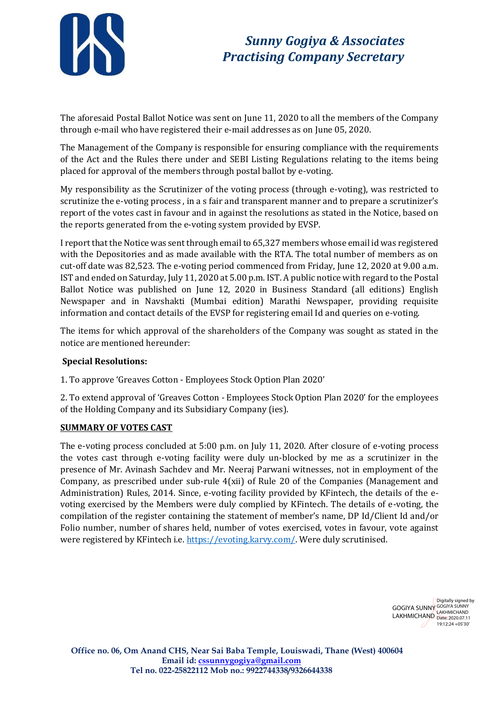

# *Sunny Gogiya & Associates Practising Company Secretary*

The aforesaid Postal Ballot Notice was sent on June 11, 2020 to all the members of the Company through e-mail who have registered their e-mail addresses as on June 05, 2020.

The Management of the Company is responsible for ensuring compliance with the requirements of the Act and the Rules there under and SEBI Listing Regulations relating to the items being placed for approval of the members through postal ballot by e-voting.

My responsibility as the Scrutinizer of the voting process (through e-voting), was restricted to scrutinize the e-voting process , in a s fair and transparent manner and to prepare a scrutinizer's report of the votes cast in favour and in against the resolutions as stated in the Notice, based on the reports generated from the e-voting system provided by EVSP.

I report that the Notice was sent through email to 65,327 members whose email id was registered with the Depositories and as made available with the RTA. The total number of members as on cut-off date was 82,523. The e-voting period commenced from Friday, June 12, 2020 at 9.00 a.m. IST and ended on Saturday, July 11, 2020 at 5.00 p.m. IST. A public notice with regard to the Postal Ballot Notice was published on June 12, 2020 in Business Standard (all editions) English Newspaper and in Navshakti (Mumbai edition) Marathi Newspaper, providing requisite information and contact details of the EVSP for registering email Id and queries on e-voting.

The items for which approval of the shareholders of the Company was sought as stated in the notice are mentioned hereunder:

# **Special Resolutions:**

1. To approve 'Greaves Cotton - Employees Stock Option Plan 2020'

2. To extend approval of 'Greaves Cotton - Employees Stock Option Plan 2020' for the employees of the Holding Company and its Subsidiary Company (ies).

# **SUMMARY OF VOTES CAST**

The e-voting process concluded at 5:00 p.m. on July 11, 2020. After closure of e-voting process the votes cast through e-voting facility were duly un-blocked by me as a scrutinizer in the presence of Mr. Avinash Sachdev and Mr. Neeraj Parwani witnesses, not in employment of the Company, as prescribed under sub-rule 4(xii) of Rule 20 of the Companies (Management and Administration) Rules, 2014. Since, e-voting facility provided by KFintech, the details of the evoting exercised by the Members were duly complied by KFintech. The details of e-voting, the compilation of the register containing the statement of member's name, DP Id/Client Id and/or Folio number, number of shares held, number of votes exercised, votes in favour, vote against were registered by KFintech i.e[. https://evoting.karvy.com/.](https://evoting.karvy.com/) Were duly scrutinised.

> GOGIYA SUNNY GOGIYA SUNNY LAKHMICHAND LAKHMICHAND Digitally signed by 19:12:24 +05'30'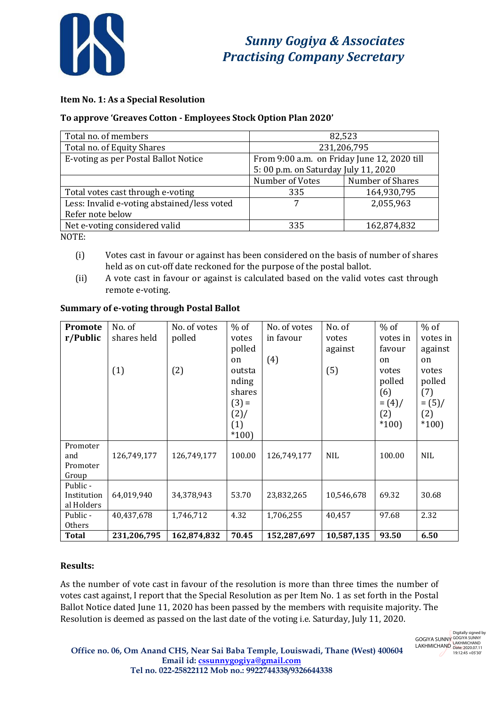

# **Item No. 1: As a Special Resolution**

### **To approve 'Greaves Cotton - Employees Stock Option Plan 2020'**

| Total no. of members                        | 82,523                                      |                  |  |  |
|---------------------------------------------|---------------------------------------------|------------------|--|--|
| Total no. of Equity Shares                  | 231,206,795                                 |                  |  |  |
| E-voting as per Postal Ballot Notice        | From 9:00 a.m. on Friday June 12, 2020 till |                  |  |  |
|                                             | 5:00 p.m. on Saturday July 11, 2020         |                  |  |  |
|                                             | Number of Votes                             | Number of Shares |  |  |
| Total votes cast through e-voting           | 335                                         | 164,930,795      |  |  |
| Less: Invalid e-voting abstained/less voted |                                             | 2,055,963        |  |  |
| Refer note below                            |                                             |                  |  |  |
| Net e-voting considered valid               | 335                                         | 162,874,832      |  |  |
| $N$ $\cap$ T $\Gamma$                       |                                             |                  |  |  |

NOTE:

- (i) Votes cast in favour or against has been considered on the basis of number of shares held as on cut-off date reckoned for the purpose of the postal ballot.
- (ii) A vote cast in favour or against is calculated based on the valid votes cast through remote e-voting.

| <b>Promote</b>            | No. of      | No. of votes | $%$ of        | No. of votes | No. of     | $%$ of        | $%$ of        |
|---------------------------|-------------|--------------|---------------|--------------|------------|---------------|---------------|
| r/Public                  | shares held | polled       | votes         | in favour    | votes      | votes in      | votes in      |
|                           |             |              | polled        |              | against    | favour        | against       |
|                           |             |              | <sub>on</sub> | (4)          |            | <sub>on</sub> | <sub>on</sub> |
|                           | (1)         | (2)          | outsta        |              | (5)        | votes         | votes         |
|                           |             |              | nding         |              |            | polled        | polled        |
|                           |             |              | shares        |              |            | (6)           | (7)           |
|                           |             |              | $(3) =$       |              |            | $=(4)$ /      | $= (5) /$     |
|                           |             |              | $(2)$ /       |              |            | (2)           | (2)           |
|                           |             |              | (1)           |              |            | $*100$        | $*100$        |
|                           |             |              | $*100$        |              |            |               |               |
| Promoter                  |             |              |               |              |            |               |               |
| and                       | 126,749,177 | 126,749,177  | 100.00        | 126,749,177  | <b>NIL</b> | 100.00        | <b>NIL</b>    |
| Promoter                  |             |              |               |              |            |               |               |
| Group                     |             |              |               |              |            |               |               |
| Public -                  |             |              |               |              |            |               |               |
| Institution<br>al Holders | 64,019,940  | 34,378,943   | 53.70         | 23,832,265   | 10,546,678 | 69.32         | 30.68         |
| Public -                  | 40,437,678  | 1,746,712    | 4.32          | 1,706,255    | 40,457     | 97.68         | 2.32          |
| Others                    |             |              |               |              |            |               |               |
| <b>Total</b>              | 231,206,795 | 162,874,832  | 70.45         | 152,287,697  | 10,587,135 | 93.50         | 6.50          |

#### **Summary of e-voting through Postal Ballot**

# **Results:**

As the number of vote cast in favour of the resolution is more than three times the number of votes cast against, I report that the Special Resolution as per Item No. 1 as set forth in the Postal Ballot Notice dated June 11, 2020 has been passed by the members with requisite majority. The Resolution is deemed as passed on the last date of the voting i.e. Saturday, July 11, 2020.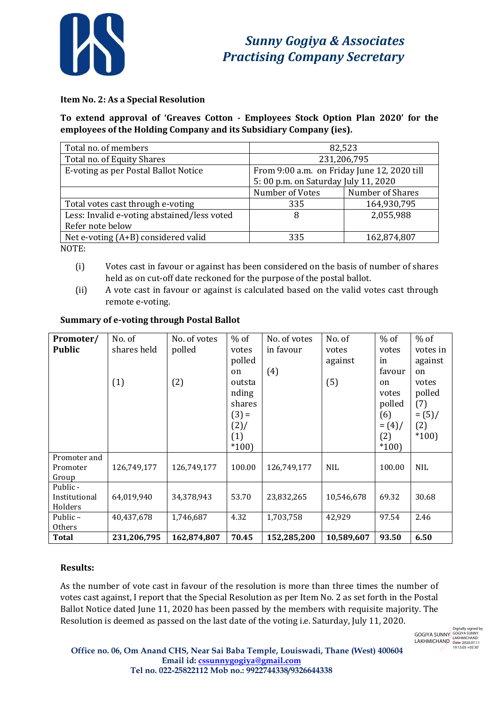

# **Item No. 2: As a Special Resolution**

**To extend approval of 'Greaves Cotton - Employees Stock Option Plan 2020' for the employees of the Holding Company and its Subsidiary Company (ies).**

| Total no. of members                        | 82,523                                      |                  |  |  |
|---------------------------------------------|---------------------------------------------|------------------|--|--|
| Total no. of Equity Shares                  | 231,206,795                                 |                  |  |  |
| E-voting as per Postal Ballot Notice        | From 9:00 a.m. on Friday June 12, 2020 till |                  |  |  |
|                                             | 5:00 p.m. on Saturday July 11, 2020         |                  |  |  |
|                                             | Number of Votes                             | Number of Shares |  |  |
| Total votes cast through e-voting           | 335                                         | 164,930,795      |  |  |
| Less: Invalid e-voting abstained/less voted | 8                                           | 2,055,988        |  |  |
| Refer note below                            |                                             |                  |  |  |
| Net e-voting (A+B) considered valid         | 335                                         | 162,874,807      |  |  |
| $\sqrt{2}$                                  |                                             |                  |  |  |

NOTE:

- (i) Votes cast in favour or against has been considered on the basis of number of shares held as on cut-off date reckoned for the purpose of the postal ballot.
- (ii) A vote cast in favour or against is calculated based on the valid votes cast through remote e-voting.

| Promoter/                            | No. of             | No. of votes  | $%$ of                                                                   | No. of votes     | No. of                  | $%$ of                                                             | $%$ of                                                                  |
|--------------------------------------|--------------------|---------------|--------------------------------------------------------------------------|------------------|-------------------------|--------------------------------------------------------------------|-------------------------------------------------------------------------|
| <b>Public</b>                        | shares held<br>(1) | polled<br>(2) | votes<br>polled<br>on<br>outsta<br>nding<br>shares<br>$(3) =$<br>$(2)$ / | in favour<br>(4) | votes<br>against<br>(5) | votes<br>in<br>favour<br>on<br>votes<br>polled<br>(6)<br>$= (4) /$ | votes in<br>against<br>on<br>votes<br>polled<br>(7)<br>$= (5) /$<br>(2) |
|                                      |                    |               | (1)<br>$*100$                                                            |                  |                         | (2)<br>$*100$                                                      | $*100$                                                                  |
| Promoter and<br>Promoter<br>Group    | 126,749,177        | 126,749,177   | 100.00                                                                   | 126,749,177      | <b>NIL</b>              | 100.00                                                             | <b>NIL</b>                                                              |
| Public -<br>Institutional<br>Holders | 64,019,940         | 34,378,943    | 53.70                                                                    | 23,832,265       | 10,546,678              | 69.32                                                              | 30.68                                                                   |
| Public –<br>Others                   | 40,437,678         | 1,746,687     | 4.32                                                                     | 1,703,758        | 42,929                  | 97.54                                                              | 2.46                                                                    |
| <b>Total</b>                         | 231,206,795        | 162,874,807   | 70.45                                                                    | 152,285,200      | 10,589,607              | 93.50                                                              | 6.50                                                                    |

#### **Summary of e-voting through Postal Ballot**

#### **Results:**

As the number of vote cast in favour of the resolution is more than three times the number of votes cast against, I report that the Special Resolution as per Item No. 2 as set forth in the Postal Ballot Notice dated June 11, 2020 has been passed by the members with requisite majority. The Resolution is deemed as passed on the last date of the voting i.e. Saturday, July 11, 2020.

GOGIYA SUNNY LAKHMICHAND Digitally signed by GOGIYA SUNNY LAKHMICHAND Date: 2020.07.11 19:13:05 +05'30'